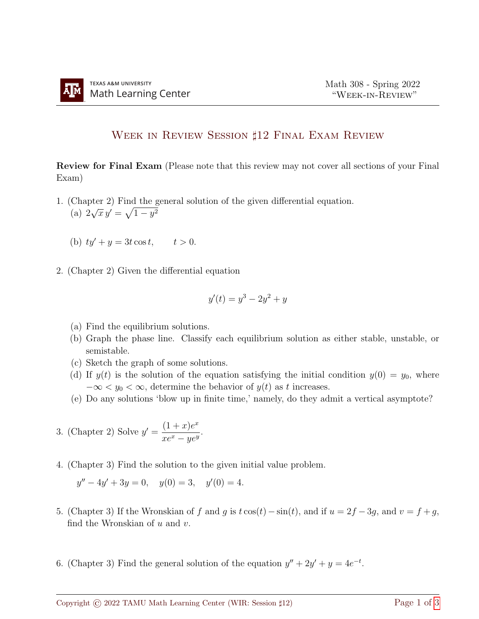## WEEK IN REVIEW SESSION ‡12 FINAL EXAM REVIEW

Review for Final Exam (Please note that this review may not cover all sections of your Final Exam)

- 1. (Chapter 2) Find the general solution of the given differential equation. (a) 2  $\sqrt{x} y' = \sqrt{1 - y^2}$ 
	- (b)  $ty' + y = 3t \cos t$ ,  $t > 0$ .
- 2. (Chapter 2) Given the differential equation

$$
y'(t) = y^3 - 2y^2 + y
$$

- (a) Find the equilibrium solutions.
- (b) Graph the phase line. Classify each equilibrium solution as either stable, unstable, or semistable.
- (c) Sketch the graph of some solutions.
- (d) If  $y(t)$  is the solution of the equation satisfying the initial condition  $y(0) = y_0$ , where  $-\infty < y_0 < \infty$ , determine the behavior of  $y(t)$  as t increases.
- (e) Do any solutions 'blow up in finite time,' namely, do they admit a vertical asymptote?
- 3. (Chapter 2) Solve  $y' = \frac{(1+x)e^x}{x}$  $\frac{(1 + x)^{\sigma}}{xe^x - ye^y}.$
- 4. (Chapter 3) Find the solution to the given initial value problem.

$$
y'' - 4y' + 3y = 0, \quad y(0) = 3, \quad y'(0) = 4.
$$

- 5. (Chapter 3) If the Wronskian of f and g is  $t \cos(t) \sin(t)$ , and if  $u = 2f 3g$ , and  $v = f + g$ , find the Wronskian of  $u$  and  $v$ .
- 6. (Chapter 3) Find the general solution of the equation  $y'' + 2y' + y = 4e^{-t}$ .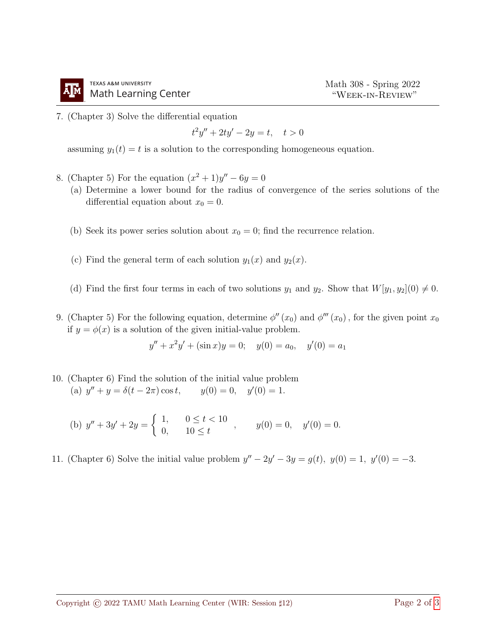

7. (Chapter 3) Solve the differential equation

$$
t^2y'' + 2ty' - 2y = t, \quad t > 0
$$

assuming  $y_1(t) = t$  is a solution to the corresponding homogeneous equation.

- 8. (Chapter 5) For the equation  $(x^2 + 1)y'' 6y = 0$ 
	- (a) Determine a lower bound for the radius of convergence of the series solutions of the differential equation about  $x_0 = 0$ .
	- (b) Seek its power series solution about  $x_0 = 0$ ; find the recurrence relation.
	- (c) Find the general term of each solution  $y_1(x)$  and  $y_2(x)$ .
	- (d) Find the first four terms in each of two solutions  $y_1$  and  $y_2$ . Show that  $W[y_1, y_2](0) \neq 0$ .
- 9. (Chapter 5) For the following equation, determine  $\phi''(x_0)$  and  $\phi'''(x_0)$ , for the given point  $x_0$ if  $y = \phi(x)$  is a solution of the given initial-value problem.

$$
y'' + x^2y' + (\sin x)y = 0; \quad y(0) = a_0, \quad y'(0) = a_1
$$

- 10. (Chapter 6) Find the solution of the initial value problem (a)  $y'' + y = \delta(t - 2\pi)\cos t$ ,  $y(0) = 0$ ,  $y'$  $y(0) = 0, \quad y'(0) = 1.$ 
	- (b)  $y'' + 3y' + 2y = \begin{cases} 1, & 0 \le t < 10 \\ 0, & 10 \le t \end{cases}$ 1,  $0 \le t < 10$ ,  $y(0) = 0$ ,  $y'(0) = 0$ .<br>0,  $10 \le t$
- 11. (Chapter 6) Solve the initial value problem  $y'' 2y' 3y = g(t)$ ,  $y(0) = 1$ ,  $y'(0) = -3$ .